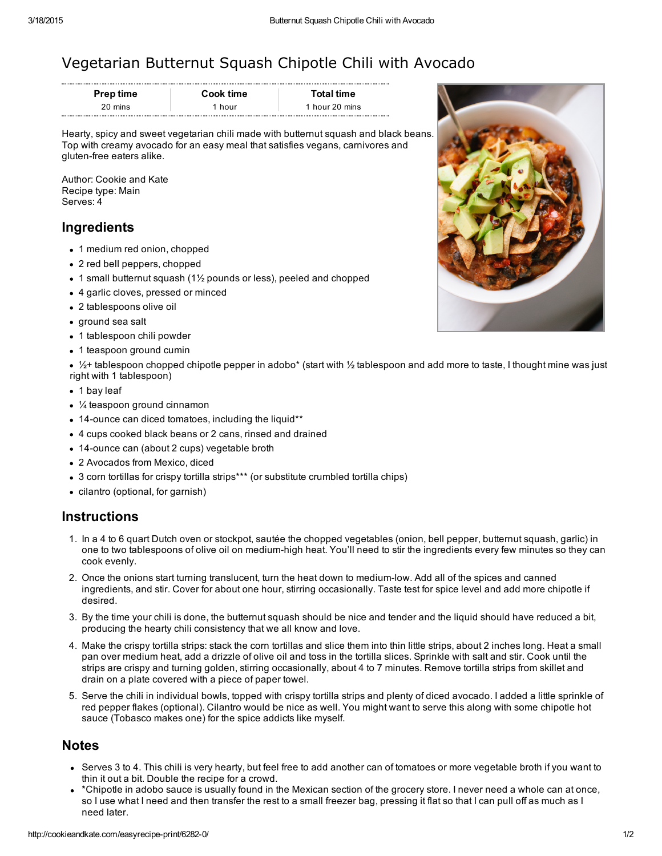# Vegetarian Butternut Squash Chipotle Chili with Avocado

| <b>Prep time</b> | <b>Cook time</b> | Total time     |
|------------------|------------------|----------------|
| 20 mins          | 1 hour           | 1 hour 20 mins |

Hearty, spicy and sweet vegetarian chili made with butternut squash and black beans. Top with creamy avocado for an easy meal that satisfies vegans, carnivores and gluten-free eaters alike.

Author: Cookie and Kate Recipe type: Main Serves: 4

# Ingredients

- 1 medium red onion, chopped
- 2 red bell peppers, chopped
- 1 small butternut squash (1½ pounds or less), peeled and chopped
- 4 garlic cloves, pressed or minced
- 2 tablespoons olive oil
- ground sea salt
- 1 tablespoon chili powder
- 1 teaspoon ground cumin

■  $½+$  tablespoon chopped chipotle pepper in adobo\* (start with  $½$  tablespoon and add more to taste, I thought mine was just right with 1 tablespoon)

- 1 bay leaf
- $\frac{1}{4}$  teaspoon ground cinnamon
- 14-ounce can diced tomatoes, including the liquid\*\*
- 4 cups cooked black beans or 2 cans, rinsed and drained
- 14-ounce can (about 2 cups) vegetable broth
- 2 Avocados from Mexico, diced
- 3 corn tortillas for crispy tortilla strips\*\*\* (or substitute crumbled tortilla chips)
- cilantro (optional, for garnish)

### **Instructions**

- 1. In a 4 to 6 quart Dutch oven or stockpot, sautée the chopped vegetables (onion, bell pepper, butternut squash, garlic) in one to two tablespoons of olive oil on mediumhigh heat. You'll need to stir the ingredients every few minutes so they can cook evenly.
- 2. Once the onions start turning translucent, turn the heat down to mediumlow. Add all of the spices and canned ingredients, and stir. Cover for about one hour, stirring occasionally. Taste test for spice level and add more chipotle if desired.
- 3. By the time your chili is done, the butternut squash should be nice and tender and the liquid should have reduced a bit, producing the hearty chili consistency that we all know and love.
- 4. Make the crispy tortilla strips: stack the corn tortillas and slice them into thin little strips, about 2 inches long. Heat a small pan over medium heat, add a drizzle of olive oil and toss in the tortilla slices. Sprinkle with salt and stir. Cook until the strips are crispy and turning golden, stirring occasionally, about 4 to 7 minutes. Remove tortilla strips from skillet and drain on a plate covered with a piece of paper towel.
- 5. Serve the chili in individual bowls, topped with crispy tortilla strips and plenty of diced avocado. I added a little sprinkle of red pepper flakes (optional). Cilantro would be nice as well. You might want to serve this along with some chipotle hot sauce (Tobasco makes one) for the spice addicts like myself.

# **Notes**

- Serves 3 to 4. This chili is very hearty, but feel free to add another can of tomatoes or more vegetable broth if you want to thin it out a bit. Double the recipe for a crowd.
- \*Chipotle in adobo sauce is usually found in the Mexican section of the grocery store. I never need a whole can at once, so I use what I need and then transfer the rest to a small freezer bag, pressing it flat so that I can pull off as much as I need later.